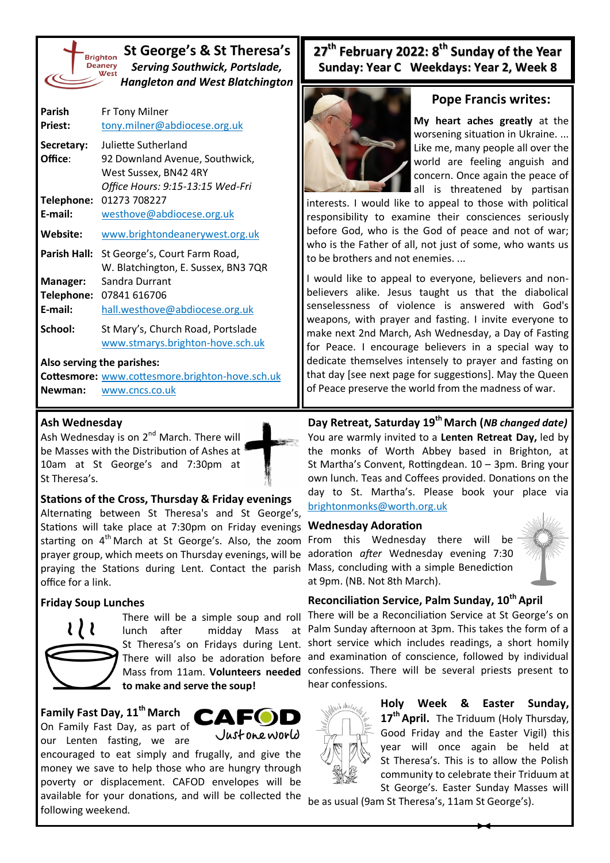

## **St George's & St Theresa's** *Serving Southwick, Portslade, Hangleton and West Blatchington*

| Parish                                           | Fr Tony Milner                      |  |  |
|--------------------------------------------------|-------------------------------------|--|--|
| <b>Priest:</b>                                   | tony.milner@abdiocese.org.uk        |  |  |
| Secretary:                                       | Juliette Sutherland                 |  |  |
| Office:                                          | 92 Downland Avenue, Southwick,      |  |  |
|                                                  | West Sussex, BN42 4RY               |  |  |
|                                                  | Office Hours: 9:15-13:15 Wed-Fri    |  |  |
| Telephone:                                       | 01273 708227                        |  |  |
| E-mail:                                          | westhove@abdiocese.org.uk           |  |  |
| <b>Website:</b>                                  | www.brightondeanerywest.org.uk      |  |  |
| Parish Hall:                                     | St George's, Court Farm Road,       |  |  |
|                                                  | W. Blatchington, E. Sussex, BN3 7QR |  |  |
| Manager:                                         | Sandra Durrant                      |  |  |
| Telephone:                                       | 07841 616706                        |  |  |
| E-mail:                                          | hall.westhove@abdiocese.org.uk      |  |  |
| School:                                          | St Mary's, Church Road, Portslade   |  |  |
|                                                  | www.stmarys.brighton-hove.sch.uk    |  |  |
| Also serving the parishes:                       |                                     |  |  |
| $C$ ottormarai unuu sattormara brightan hava seh |                                     |  |  |

**Cottesmore:** [www.cottesmore.brighton](http://www.cottesmore.brighton-hove.sch.uk)-hove.sch.uk **Newman:** [www.cncs.co.uk](https://www.cncs.co.uk/)

#### **Ash Wednesday**

Ash Wednesday is on 2<sup>nd</sup> March. There will be Masses with the Distribution of Ashes at 10am at St George's and 7:30pm at St Theresa's.

#### **Stations of the Cross, Thursday & Friday evenings**

Alternating between St Theresa's and St George's, Stations will take place at 7:30pm on Friday evenings starting on  $4<sup>th</sup>$  March at St George's. Also, the zoom prayer group, which meets on Thursday evenings, will be praying the Stations during Lent. Contact the parish Mass, concluding with a simple Benediction office for a link.

### **Friday Soup Lunches**



There will be a simple soup and roll lunch after midday Mass at **to make and serve the soup!**

# **Family Fast Day, 11th March**

On Family Fast Day, as part of our Lenten fasting, we are



encouraged to eat simply and frugally, and give the money we save to help those who are hungry through poverty or displacement. CAFOD envelopes will be available for your donations, and will be collected the following weekend.

# **27th February 2022: 8th Sunday of the Year Sunday: Year C Weekdays: Year 2, Week 8**



### **Pope Francis writes:**

**My heart aches greatly** at the worsening situation in Ukraine. ... Like me, many people all over the world are feeling anguish and concern. Once again the peace of all is threatened by partisan

interests. I would like to appeal to those with political responsibility to examine their consciences seriously before God, who is the God of peace and not of war; who is the Father of all, not just of some, who wants us to be brothers and not enemies. ...

I would like to appeal to everyone, believers and nonbelievers alike. Jesus taught us that the diabolical senselessness of violence is answered with God's weapons, with prayer and fasting. I invite everyone to make next 2nd March, Ash Wednesday, a Day of Fasting for Peace. I encourage believers in a special way to dedicate themselves intensely to prayer and fasting on that day [see next page for suggestions]. May the Queen of Peace preserve the world from the madness of war.

**Day Retreat, Saturday 19th March (***NB changed date)* You are warmly invited to a **Lenten Retreat Day,** led by the monks of Worth Abbey based in Brighton, at St Martha's Convent, Rottingdean. 10 – 3pm. Bring your own lunch. Teas and Coffees provided. Donations on the day to St. Martha's. Please book your place via [brightonmonks@worth.org.uk](mailto:brightonmonks@worth.org.uk?subject=Lenl%20Retreat%20Booing)

### **Wednesday Adoration**

From this Wednesday there will be adoration *after* Wednesday evening 7:30 at 9pm. (NB. Not 8th March).



### **Reconciliation Service, Palm Sunday, 10th April**

St Theresa's on Fridays during Lent. Short service which includes readings, a short homily There will also be adoration before and examination of conscience, followed by individual Mass from 11am. **Volunteers needed**  confessions. There will be several priests present to There will be a Reconciliation Service at St George's on Palm Sunday afternoon at 3pm. This takes the form of a hear confessions.



**Holy Week & Easter Sunday, 17th April.** The Triduum (Holy Thursday, Good Friday and the Easter Vigil) this year will once again be held at St Theresa's. This is to allow the Polish community to celebrate their Triduum at St George's. Easter Sunday Masses will

be as usual (9am St Theresa's, 11am St George's).